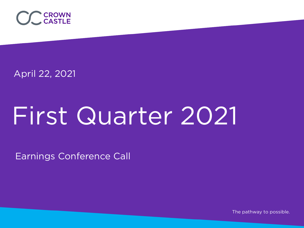

April 22, 2021

# First Quarter 2021

Earnings Conference Call

The pathway to possible.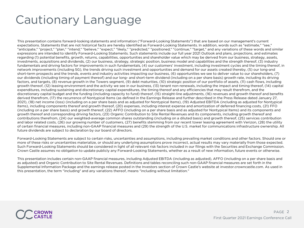# Cautionary Language

This presentation contains forward-looking statements and information ("Forward-Looking Statements") that are based on our management's current expectations. Statements that are not historical facts are hereby identified as Forward-Looking Statements. In addition, words such as "estimate," "see," "anticipate," "project," "plan," "intend," "believe," "expect," "likely," "predicted," "positioned," "continue," "target," and any variations of these words and similar expressions are intended to identify Forward-Looking Statements. Such statements include our full year 2021 Outlook and plans, projections, and estimates regarding (1) potential benefits, growth, returns, capabilities, opportunities and shareholder value which may be derived from our business, strategy, assets, investments, acquisitions and dividends, (2) our business, strategy, strategic position, business model and capabilities and the strength thereof, (3) industry fundamentals and driving factors for improvements in such fundamentals, (4) our customers' investment, including investment cycles and the timing thereof, in network improvements (including 5G), the trends driving such investment and opportunities and demand for our assets created thereby, (5) our long-and short-term prospects and the trends, events and industry activities impacting our business, (6) opportunities we see to deliver value to our shareholders, (7) our dividends (including timing of payment thereof) and our long- and short-term dividend (including on a per share basis) growth rate, including its driving factors, and targets, (8) revenue growth in the Towers segment, (9) debt maturities, (10) strategic position of our portfolio of assets, (11) cash flows, including growth thereof, (12) leasing environment and the activity we see in our business, (13) tenant non-renewals, including the impact and timing thereof, (14) capital expenditures, including sustaining and discretionary capital expenditures, the timing thereof and any efficiencies that may result therefrom, and the discretionary capital budget and the funding (including capacity to fund) thereof, (15) straight-line adjustments, (16) revenues and growth thereof and benefits derived therefrom, (17) the recurrence of Nontypical Items (as defined in the Earnings Release and further described in the Press Release dated January 27, 2021), (18) net income (loss) (including on a per share basis and as adjusted for Nontypical Items), (19) Adjusted EBITDA (including as adjusted for Nontypical Items), including components thereof and growth thereof, (20) expenses, including interest expense and amortization of deferred financing costs, (21) FFO (including on a per share basis) and growth thereof, (22) AFFO (including on a per share basis and as adjusted for Nontypical Items) and its components and growth thereof and corresponding driving factors, (23) Organic Contribution to Site Rental Revenues and its components, including growth thereof and contributions therefrom, (24) our weighted-average common shares outstanding (including on a diluted basis) and growth thereof, (25) services contribution and labor related costs, (26) our growing number of customers, (27) benefits stemming from our recent tower leasing agreement with Verizon, (28) the utility of certain financial measures, including non-GAAP financial measures and (29) the strength of the U.S. market for communications infrastructure ownership. All future dividends are subject to declaration by our board of directors.

Forward-Looking Statements are subject to certain risks, uncertainties and assumptions, including prevailing market conditions and other factors. Should one or more of these risks or uncertainties materialize, or should any underlying assumptions prove incorrect, actual results may vary materially from those expected. Such Forward-Looking Statements should be considered in light of all relevant risk factors included in our filings with the Securities and Exchange Commission. Crown Castle assumes no obligation to update publicly any Forward-Looking Statements, whether as a result of new information, future events or otherwise.

This presentation includes certain non-GAAP financial measures, including Adjusted EBITDA (including as adjusted), AFFO (including on a per share basis and as adjusted) and Organic Contribution to Site Rental Revenues. Definitions and tables reconciling such non-GAAP financial measures are set forth in the Supplemental Information Package and the earnings release posted in the Investors section of Crown Castle's website at investor.crowncastle.com. As used in this presentation, the term "including" and any variations thereof, means "including without limitation."

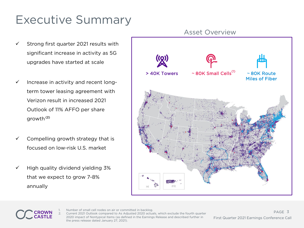# Executive Summary

- $\checkmark$  Strong first quarter 2021 results with significant increase in activity as 5G upgrades have started at scale
- $\checkmark$  Increase in activity and recent longterm tower leasing agreement with Verizon result in increased 2021 Outlook of 11% AFFO per share growth<sup>(2)</sup>
- Compelling growth strategy that is focused on low-risk U.S. market
- $\checkmark$  High quality dividend yielding 3% that we expect to grow 7-8% annually





Number of small cell nodes on air or committed in backlog. Current 2021 Outlook compared to As Adjusted 2020 actuals, which exclude the fourth quarter 2020 impact of Nontypical Items (as defined in the Earnings Release and described further in the press release dated January 27, 2021).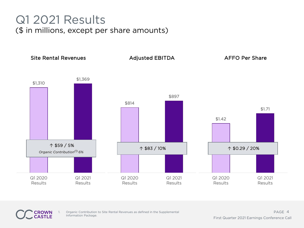## Q1 2021 Results (\$ in millions, except per share amounts)



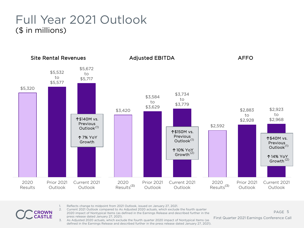#### Full Year 2021 Outlook (\$ in millions)



- 1. Reflects change to midpoint from 2021 Outlook, issued on January 27, 2021.
- 2. Current 2021 Outlook compared to As Adjusted 2020 actuals, which exclude the fourth quarter 2020 impact of Nontypical Items (as defined in the Earnings Release and described further in the press release dated January 27, 2021).
- 3. As Adjusted 2020 actuals, which exclude the fourth quarter 2020 impact of Nontypical Items (as defined in the Earnings Release and described further in the press release dated January 27, 2021).

5 PAGE First Quarter 2021 Earnings Conference Call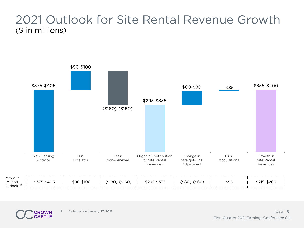## 2021 Outlook for Site Rental Revenue Growth (\$ in millions)